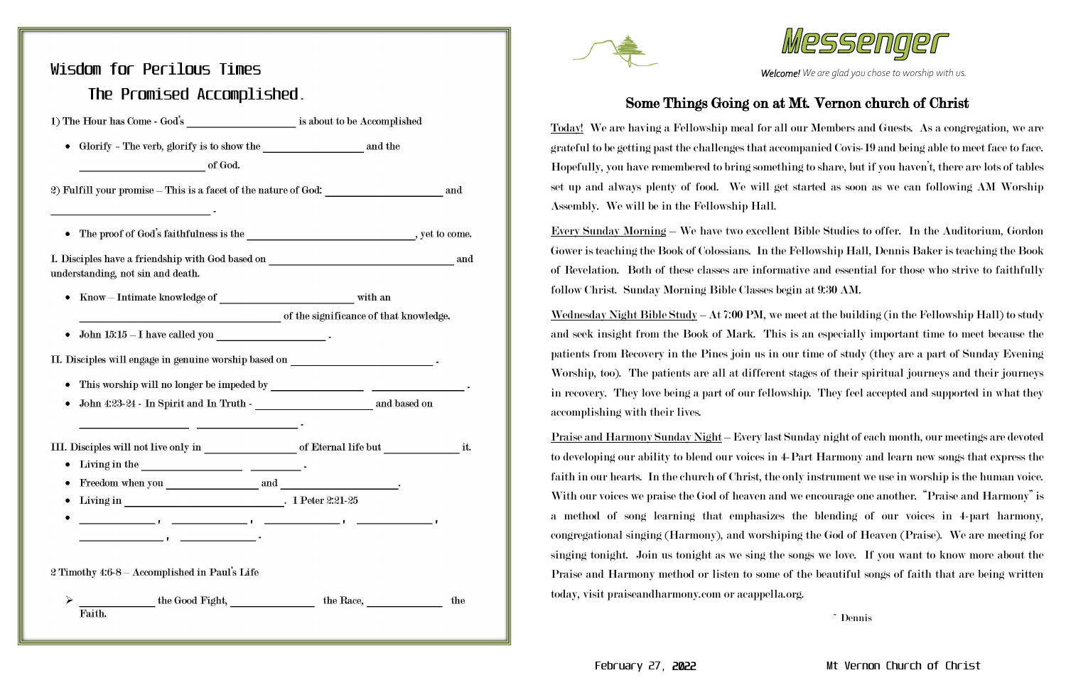## February 27, 2022 Mt Vernon Church of Christ

*Welcome! We are glad you chose to worship with us.*

# Wisdom for Perilous Times The Promised Accomplished. 1) The Hour has Come - God's is about to be Accomplished of God. 2) Fulfill your promise – This is a facet of the nature of God: and • The proof of God's faithfulness is the , yet to come. I. Disciples have a friendship with God based on and understanding, not sin and death. •  $Know - Intimate knowledge of$  with an of the significance of that knowledge. II. Disciples will engage in genuine worship based on <u> 1989 - Johann John Stone, mars et al. 1989 - John Stone, mars et al. 1989 - John Stone, mars et al. 1989 - Joh</u> • Freedom when you  $\hspace{2.5cm}$  and  $\hspace{2.5cm}$  .  $\mathbf{I}$   $\mathbf{I}$   $\mathbf{I}$   $\mathbf{I}$   $\mathbf{I}$   $\mathbf{I}$   $\mathbf{I}$   $\mathbf{I}$   $\mathbf{I}$   $\mathbf{I}$   $\mathbf{I}$   $\mathbf{I}$   $\mathbf{I}$   $\mathbf{I}$   $\mathbf{I}$   $\mathbf{I}$   $\mathbf{I}$   $\mathbf{I}$   $\mathbf{I}$   $\mathbf{I}$   $\mathbf{I}$   $\mathbf{I}$   $\mathbf{I}$   $\mathbf{I}$   $\mathbf{$ 2 Timothy 4:6-8 - Accomplished in Paul's Life Faith.



## Some Things Going on at Mt. Vernon church of Christ

Today! We are having a Fellowship meal for all our Members and Guests. As a congregation, we are grateful to be getting past the challenges that accompanied Covis-19 and being able to meet face to face. Hopefully, you have remembered to bring something to share, but if you haven't, there are lots of tables set up and always plenty of food. We will get started as soon as we can following AM Worship Assembly. We will be in the Fellowship Hall.

Every Sunday Morning – We have two excellent Bible Studies to offer. In the Auditorium, Gordon Gower is teaching the Book of Colossians. In the Fellowship Hall, Dennis Baker is teaching the Book of Revelation. Both of these classes are informative and essential for those who strive to faithfully follow Christ. Sunday Morning Bible Classes begin at 9:30 AM. <u>Wednesday Night Bible Study</u> – At 7:00 PM, we meet at the building (in the Fellowship Hall) to study and seek insight from the Book of Mark. This is an especially important time to meet because the patients from Recovery in the Pines join us in our time of study (they are a part of Sunday Evening Worship, too). The patients are all at different stages of their spiritual journeys and their journeys in recovery. They love being a part of our fellowship. They feel accepted and supported in what they accomplishing with their lives.

Praise and Harmony Sunday Night – Every last Sunday night of each month, our meetings are devoted to developing our ability to blend our voices in 4-Part Harmony and learn new songs that express the faith in our hearts. In the church of Christ, the only instrument we use in worship is the human voice. With our voices we praise the God of heaven and we encourage one another. "Praise and Harmony" is a method of song learning that emphasizes the blending of our voices in 4-part harmony, congregational singing (Harmony), and worshiping the God of Heaven (Praise). We are meeting for singing tonight. Join us tonight as we sing the songs we love. If you want to know more about the Praise and Harmony method or listen to some of the beautiful songs of faith that are being written today, visit praiseandharmony.com or acappella.org.



~ Dennis